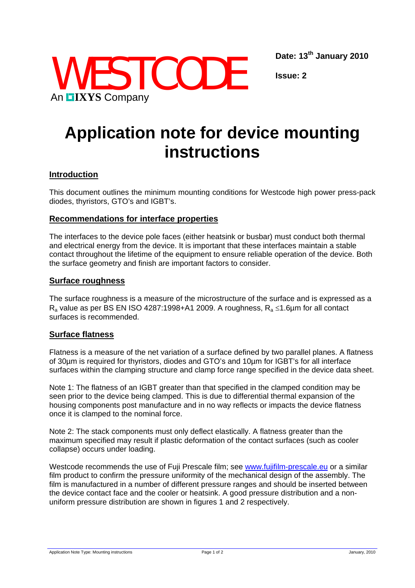**Date: 13th January 2010** 



**Issue: 2** 

# **Application note for device mounting instructions**

# **Introduction**

This document outlines the minimum mounting conditions for Westcode high power press-pack diodes, thyristors, GTO's and IGBT's.

## **Recommendations for interface properties**

The interfaces to the device pole faces (either heatsink or busbar) must conduct both thermal and electrical energy from the device. It is important that these interfaces maintain a stable contact throughout the lifetime of the equipment to ensure reliable operation of the device. Both the surface geometry and finish are important factors to consider.

#### **Surface roughness**

The surface roughness is a measure of the microstructure of the surface and is expressed as a R<sub>a</sub> value as per BS EN ISO 4287:1998+A1 2009. A roughness,  $R_a$  ≤1.6 $\mu$ m for all contact surfaces is recommended.

## **Surface flatness**

Flatness is a measure of the net variation of a surface defined by two parallel planes. A flatness of 30µm is required for thyristors, diodes and GTO's and 10µm for IGBT's for all interface surfaces within the clamping structure and clamp force range specified in the device data sheet.

Note 1: The flatness of an IGBT greater than that specified in the clamped condition may be seen prior to the device being clamped. This is due to differential thermal expansion of the housing components post manufacture and in no way reflects or impacts the device flatness once it is clamped to the nominal force.

Note 2: The stack components must only deflect elastically. A flatness greater than the maximum specified may result if plastic deformation of the contact surfaces (such as cooler collapse) occurs under loading.

Westcode recommends the use of Fuji Prescale film; see [www.fujifilm-prescale.eu](http://www.fujifilm-prescale.eu/) or a similar film product to confirm the pressure uniformity of the mechanical design of the assembly. The film is manufactured in a number of different pressure ranges and should be inserted between the device contact face and the cooler or heatsink. A good pressure distribution and a nonuniform pressure distribution are shown in figures 1 and 2 respectively.

Application Note Type: Mounting instructions example and the Page 1 of 2 January, 2010